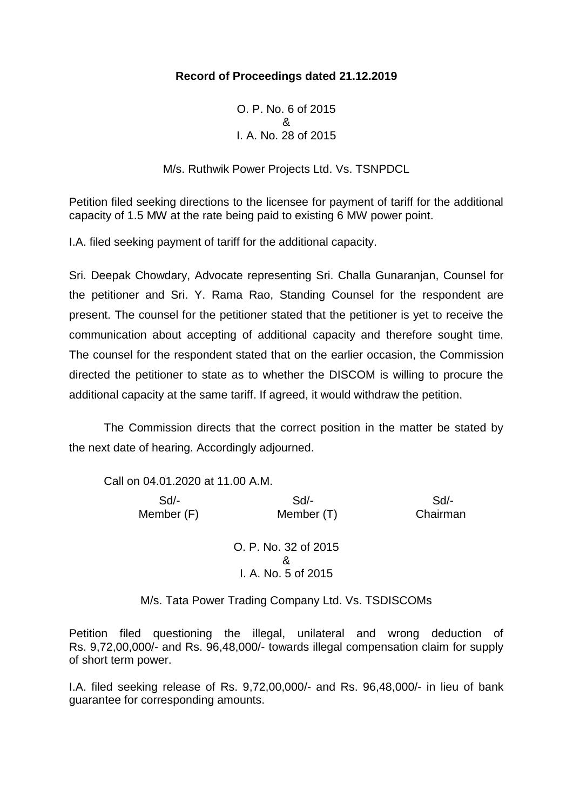# **Record of Proceedings dated 21.12.2019**

O. P. No. 6 of 2015 & I. A. No. 28 of 2015

M/s. Ruthwik Power Projects Ltd. Vs. TSNPDCL

Petition filed seeking directions to the licensee for payment of tariff for the additional capacity of 1.5 MW at the rate being paid to existing 6 MW power point.

I.A. filed seeking payment of tariff for the additional capacity.

Sri. Deepak Chowdary, Advocate representing Sri. Challa Gunaranjan, Counsel for the petitioner and Sri. Y. Rama Rao, Standing Counsel for the respondent are present. The counsel for the petitioner stated that the petitioner is yet to receive the communication about accepting of additional capacity and therefore sought time. The counsel for the respondent stated that on the earlier occasion, the Commission directed the petitioner to state as to whether the DISCOM is willing to procure the additional capacity at the same tariff. If agreed, it would withdraw the petition.

The Commission directs that the correct position in the matter be stated by the next date of hearing. Accordingly adjourned.

Call on 04.01.2020 at 11.00 A.M.

 Sd/- Sd/- Sd/- Member (F) Member (T) Chairman

> O. P. No. 32 of 2015 & I. A. No. 5 of 2015

M/s. Tata Power Trading Company Ltd. Vs. TSDISCOMs

Petition filed questioning the illegal, unilateral and wrong deduction of Rs. 9,72,00,000/- and Rs. 96,48,000/- towards illegal compensation claim for supply of short term power.

I.A. filed seeking release of Rs. 9,72,00,000/- and Rs. 96,48,000/- in lieu of bank guarantee for corresponding amounts.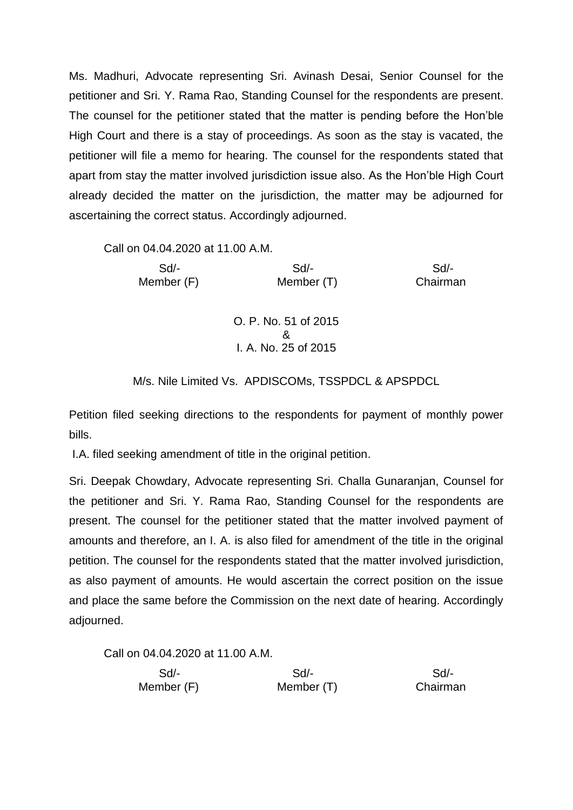Ms. Madhuri, Advocate representing Sri. Avinash Desai, Senior Counsel for the petitioner and Sri. Y. Rama Rao, Standing Counsel for the respondents are present. The counsel for the petitioner stated that the matter is pending before the Hon'ble High Court and there is a stay of proceedings. As soon as the stay is vacated, the petitioner will file a memo for hearing. The counsel for the respondents stated that apart from stay the matter involved jurisdiction issue also. As the Hon'ble High Court already decided the matter on the jurisdiction, the matter may be adjourned for ascertaining the correct status. Accordingly adjourned.

Call on 04.04.2020 at 11.00 A.M.

 Sd/- Sd/- Sd/- Member (F) Member (T) Chairman O. P. No. 51 of 2015 & I. A. No. 25 of 2015

M/s. Nile Limited Vs. APDISCOMs, TSSPDCL & APSPDCL

Petition filed seeking directions to the respondents for payment of monthly power bills.

I.A. filed seeking amendment of title in the original petition.

Sri. Deepak Chowdary, Advocate representing Sri. Challa Gunaranjan, Counsel for the petitioner and Sri. Y. Rama Rao, Standing Counsel for the respondents are present. The counsel for the petitioner stated that the matter involved payment of amounts and therefore, an I. A. is also filed for amendment of the title in the original petition. The counsel for the respondents stated that the matter involved jurisdiction, as also payment of amounts. He would ascertain the correct position on the issue and place the same before the Commission on the next date of hearing. Accordingly adjourned.

Call on 04.04.2020 at 11.00 A.M.

| Sd/-       | Sd         | Sd/-     |
|------------|------------|----------|
| Member (F) | Member (T) | Chairman |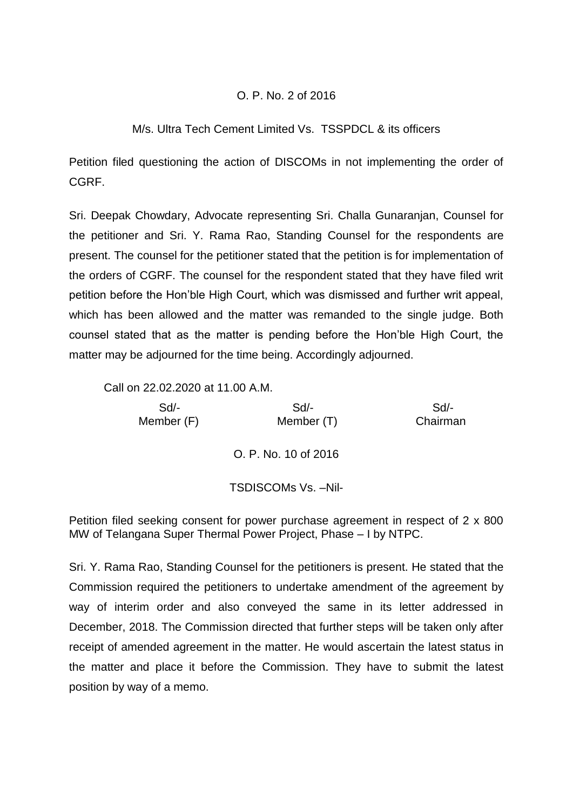# O. P. No. 2 of 2016

### M/s. Ultra Tech Cement Limited Vs. TSSPDCL & its officers

Petition filed questioning the action of DISCOMs in not implementing the order of CGRF.

Sri. Deepak Chowdary, Advocate representing Sri. Challa Gunaranjan, Counsel for the petitioner and Sri. Y. Rama Rao, Standing Counsel for the respondents are present. The counsel for the petitioner stated that the petition is for implementation of the orders of CGRF. The counsel for the respondent stated that they have filed writ petition before the Hon'ble High Court, which was dismissed and further writ appeal, which has been allowed and the matter was remanded to the single judge. Both counsel stated that as the matter is pending before the Hon'ble High Court, the matter may be adjourned for the time being. Accordingly adjourned.

Call on 22.02.2020 at 11.00 A.M.

 Sd/- Sd/- Sd/- Member (F) Member (T) Chairman O. P. No. 10 of 2016

#### TSDISCOMs Vs. –Nil-

Petition filed seeking consent for power purchase agreement in respect of 2 x 800 MW of Telangana Super Thermal Power Project, Phase – I by NTPC.

Sri. Y. Rama Rao, Standing Counsel for the petitioners is present. He stated that the Commission required the petitioners to undertake amendment of the agreement by way of interim order and also conveyed the same in its letter addressed in December, 2018. The Commission directed that further steps will be taken only after receipt of amended agreement in the matter. He would ascertain the latest status in the matter and place it before the Commission. They have to submit the latest position by way of a memo.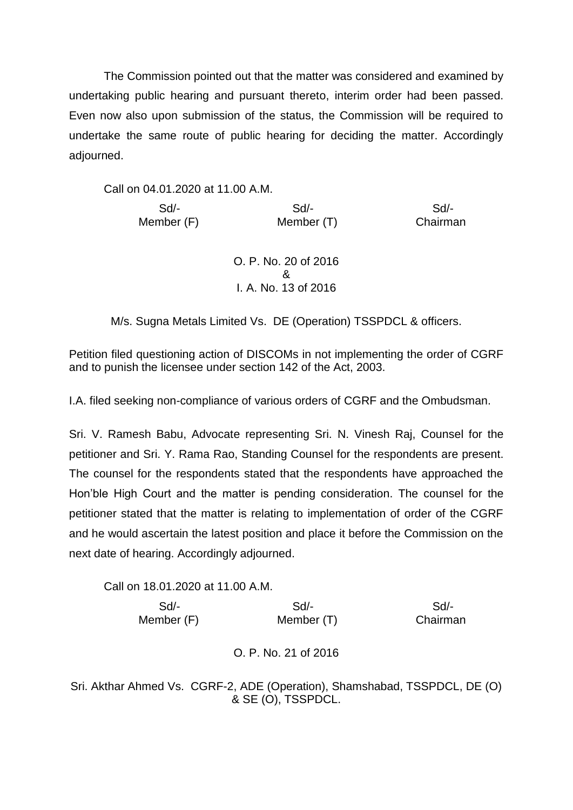The Commission pointed out that the matter was considered and examined by undertaking public hearing and pursuant thereto, interim order had been passed. Even now also upon submission of the status, the Commission will be required to undertake the same route of public hearing for deciding the matter. Accordingly adjourned.

Call on 04.01.2020 at 11.00 A.M.

 Sd/- Sd/- Sd/- Member (F) Member (T) Chairman

> O. P. No. 20 of 2016 & I. A. No. 13 of 2016

M/s. Sugna Metals Limited Vs. DE (Operation) TSSPDCL & officers.

Petition filed questioning action of DISCOMs in not implementing the order of CGRF and to punish the licensee under section 142 of the Act, 2003.

I.A. filed seeking non-compliance of various orders of CGRF and the Ombudsman.

Sri. V. Ramesh Babu, Advocate representing Sri. N. Vinesh Raj, Counsel for the petitioner and Sri. Y. Rama Rao, Standing Counsel for the respondents are present. The counsel for the respondents stated that the respondents have approached the Hon'ble High Court and the matter is pending consideration. The counsel for the petitioner stated that the matter is relating to implementation of order of the CGRF and he would ascertain the latest position and place it before the Commission on the next date of hearing. Accordingly adjourned.

Call on 18.01.2020 at 11.00 A.M. Sd/- Sd/- Sd/- Member (F) Member (T) Chairman

O. P. No. 21 of 2016

Sri. Akthar Ahmed Vs. CGRF-2, ADE (Operation), Shamshabad, TSSPDCL, DE (O) & SE (O), TSSPDCL.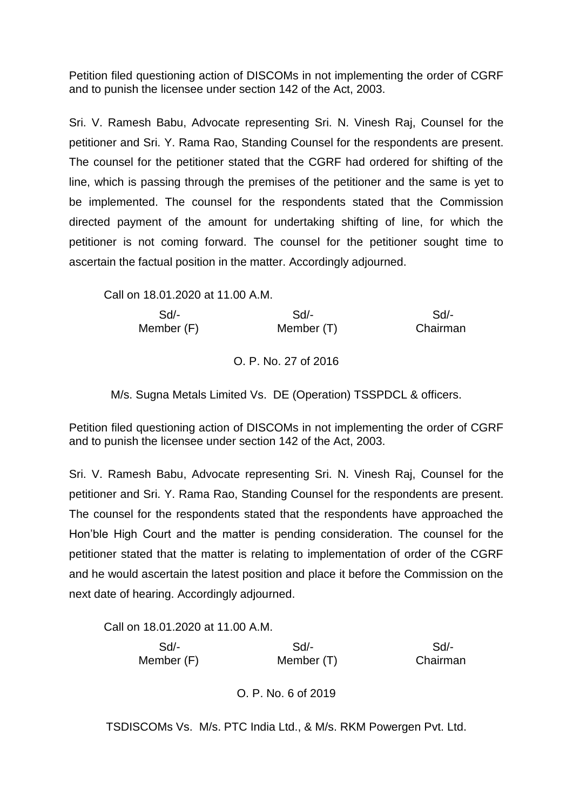Petition filed questioning action of DISCOMs in not implementing the order of CGRF and to punish the licensee under section 142 of the Act, 2003.

Sri. V. Ramesh Babu, Advocate representing Sri. N. Vinesh Raj, Counsel for the petitioner and Sri. Y. Rama Rao, Standing Counsel for the respondents are present. The counsel for the petitioner stated that the CGRF had ordered for shifting of the line, which is passing through the premises of the petitioner and the same is yet to be implemented. The counsel for the respondents stated that the Commission directed payment of the amount for undertaking shifting of line, for which the petitioner is not coming forward. The counsel for the petitioner sought time to ascertain the factual position in the matter. Accordingly adjourned.

Call on 18.01.2020 at 11.00 A.M.

| Sd/-       | Sd         | Sd       |
|------------|------------|----------|
| Member (F) | Member (T) | Chairman |

# O. P. No. 27 of 2016

M/s. Sugna Metals Limited Vs. DE (Operation) TSSPDCL & officers.

Petition filed questioning action of DISCOMs in not implementing the order of CGRF and to punish the licensee under section 142 of the Act, 2003.

Sri. V. Ramesh Babu, Advocate representing Sri. N. Vinesh Raj, Counsel for the petitioner and Sri. Y. Rama Rao, Standing Counsel for the respondents are present. The counsel for the respondents stated that the respondents have approached the Hon'ble High Court and the matter is pending consideration. The counsel for the petitioner stated that the matter is relating to implementation of order of the CGRF and he would ascertain the latest position and place it before the Commission on the next date of hearing. Accordingly adjourned.

Call on 18.01.2020 at 11.00 A.M. Sd/- Sd/- Sd/- Member (F) Member (T) Chairman

O. P. No. 6 of 2019

TSDISCOMs Vs. M/s. PTC India Ltd., & M/s. RKM Powergen Pvt. Ltd.